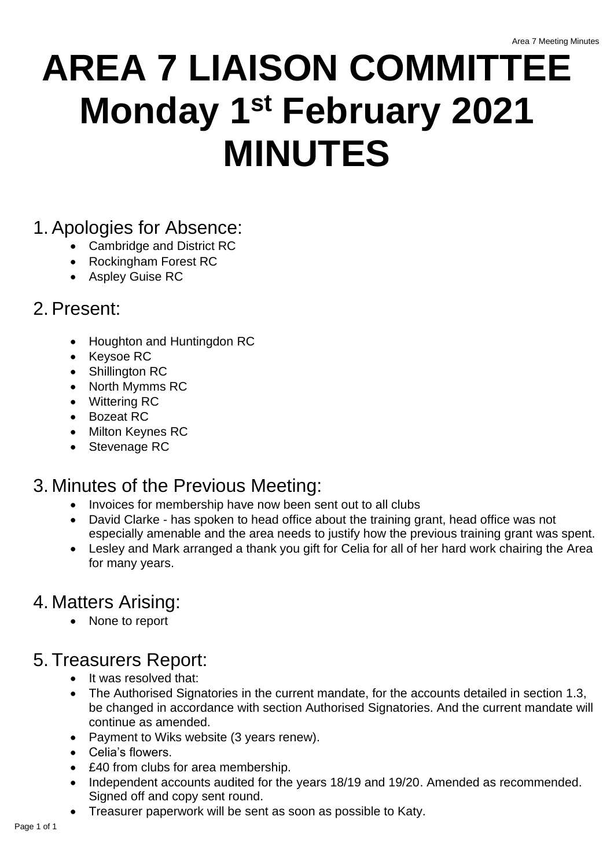# **AREA 7 LIAISON COMMITTEE Monday 1st February 2021 MINUTES**

#### 1. Apologies for Absence:

- Cambridge and District RC
- Rockingham Forest RC
- Aspley Guise RC

### 2. Present:

- Houghton and Huntingdon RC
- Keysoe RC
- Shillington RC
- North Mymms RC
- Wittering RC
- Bozeat RC
- Milton Keynes RC
- Stevenage RC

# 3. Minutes of the Previous Meeting:

- Invoices for membership have now been sent out to all clubs
- David Clarke has spoken to head office about the training grant, head office was not especially amenable and the area needs to justify how the previous training grant was spent.
- Lesley and Mark arranged a thank you gift for Celia for all of her hard work chairing the Area for many years.

# 4. Matters Arising:

• None to report

## 5. Treasurers Report:

- It was resolved that:
- The Authorised Signatories in the current mandate, for the accounts detailed in section 1.3, be changed in accordance with section Authorised Signatories. And the current mandate will continue as amended.
- Payment to Wiks website (3 years renew).
- Celia's flowers.
- £40 from clubs for area membership.
- Independent accounts audited for the years 18/19 and 19/20. Amended as recommended. Signed off and copy sent round.
- Treasurer paperwork will be sent as soon as possible to Katy.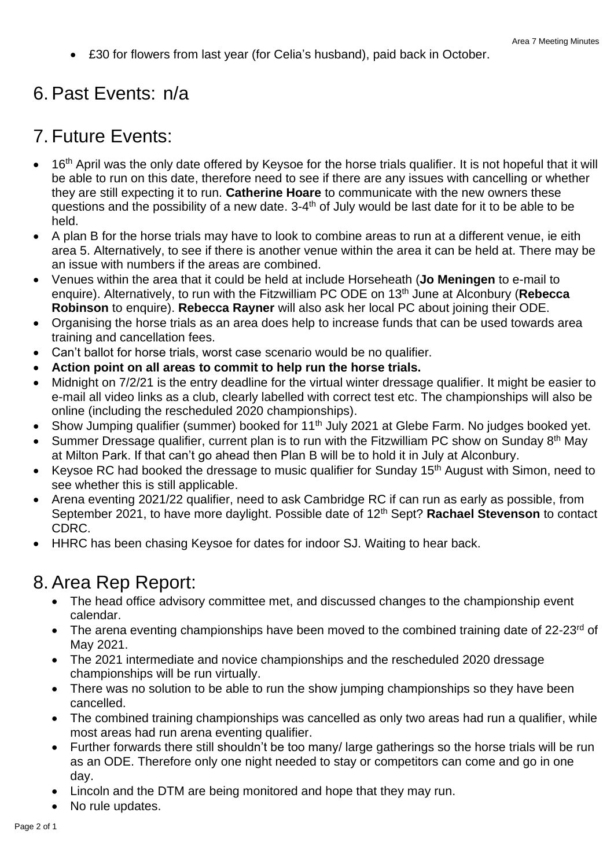• £30 for flowers from last year (for Celia's husband), paid back in October.

#### 6. Past Events: n/a

#### 7. Future Events:

- 16<sup>th</sup> April was the only date offered by Keysoe for the horse trials qualifier. It is not hopeful that it will be able to run on this date, therefore need to see if there are any issues with cancelling or whether they are still expecting it to run. **Catherine Hoare** to communicate with the new owners these questions and the possibility of a new date. 3-4<sup>th</sup> of July would be last date for it to be able to be held.
- A plan B for the horse trials may have to look to combine areas to run at a different venue, ie eith area 5. Alternatively, to see if there is another venue within the area it can be held at. There may be an issue with numbers if the areas are combined.
- Venues within the area that it could be held at include Horseheath (**Jo Meningen** to e-mail to enquire). Alternatively, to run with the Fitzwilliam PC ODE on 13th June at Alconbury (**Rebecca Robinson** to enquire). **Rebecca Rayner** will also ask her local PC about joining their ODE.
- Organising the horse trials as an area does help to increase funds that can be used towards area training and cancellation fees.
- Can't ballot for horse trials, worst case scenario would be no qualifier.
- **Action point on all areas to commit to help run the horse trials.**
- Midnight on 7/2/21 is the entry deadline for the virtual winter dressage qualifier. It might be easier to e-mail all video links as a club, clearly labelled with correct test etc. The championships will also be online (including the rescheduled 2020 championships).
- Show Jumping qualifier (summer) booked for 11<sup>th</sup> July 2021 at Glebe Farm. No judges booked yet.
- Summer Dressage qualifier, current plan is to run with the Fitzwilliam PC show on Sunday  $8<sup>th</sup>$  May at Milton Park. If that can't go ahead then Plan B will be to hold it in July at Alconbury.
- Keysoe RC had booked the dressage to music qualifier for Sunday 15th August with Simon, need to see whether this is still applicable.
- Arena eventing 2021/22 qualifier, need to ask Cambridge RC if can run as early as possible, from September 2021, to have more daylight. Possible date of 12th Sept? **Rachael Stevenson** to contact CDRC.
- HHRC has been chasing Keysoe for dates for indoor SJ. Waiting to hear back.

#### 8. Area Rep Report:

- The head office advisory committee met, and discussed changes to the championship event calendar.
- The arena eventing championships have been moved to the combined training date of  $22-23^{rd}$  of May 2021.
- The 2021 intermediate and novice championships and the rescheduled 2020 dressage championships will be run virtually.
- There was no solution to be able to run the show jumping championships so they have been cancelled.
- The combined training championships was cancelled as only two areas had run a qualifier, while most areas had run arena eventing qualifier.
- Further forwards there still shouldn't be too many/ large gatherings so the horse trials will be run as an ODE. Therefore only one night needed to stay or competitors can come and go in one day.
- Lincoln and the DTM are being monitored and hope that they may run.
- No rule updates.